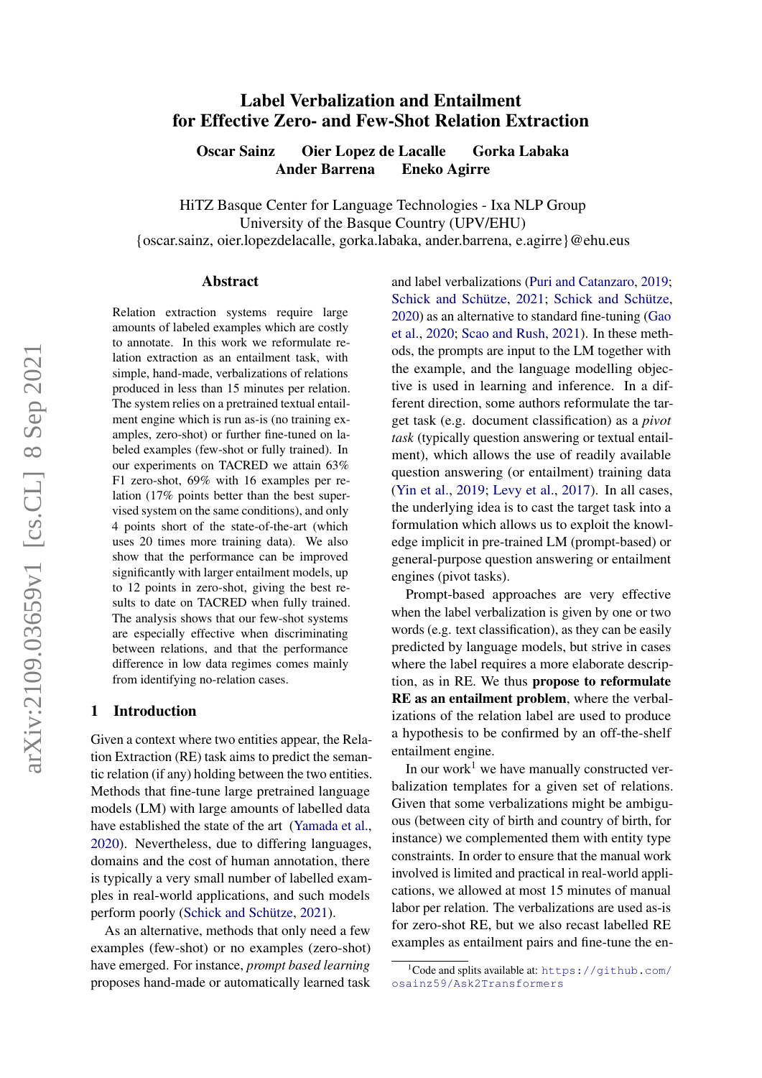# $arXiv:2109.03659v1$  [cs.CL] 8 Sep 2021 arXiv:2109.03659v1 [cs.CL] 8 Sep 2021

# Label Verbalization and Entailment for Effective Zero- and Few-Shot Relation Extraction

Oscar Sainz Oier Lopez de Lacalle Gorka Labaka Ander Barrena Eneko Agirre

HiTZ Basque Center for Language Technologies - Ixa NLP Group University of the Basque Country (UPV/EHU) {oscar.sainz, oier.lopezdelacalle, gorka.labaka, ander.barrena, e.agirre}@ehu.eus

### Abstract

Relation extraction systems require large amounts of labeled examples which are costly to annotate. In this work we reformulate relation extraction as an entailment task, with simple, hand-made, verbalizations of relations produced in less than 15 minutes per relation. The system relies on a pretrained textual entailment engine which is run as-is (no training examples, zero-shot) or further fine-tuned on labeled examples (few-shot or fully trained). In our experiments on TACRED we attain 63% F1 zero-shot, 69% with 16 examples per relation (17% points better than the best supervised system on the same conditions), and only 4 points short of the state-of-the-art (which uses 20 times more training data). We also show that the performance can be improved significantly with larger entailment models, up to 12 points in zero-shot, giving the best results to date on TACRED when fully trained. The analysis shows that our few-shot systems are especially effective when discriminating between relations, and that the performance difference in low data regimes comes mainly from identifying no-relation cases.

### 1 Introduction

Given a context where two entities appear, the Relation Extraction (RE) task aims to predict the semantic relation (if any) holding between the two entities. Methods that fine-tune large pretrained language models (LM) with large amounts of labelled data have established the state of the art [\(Yamada et al.,](#page-10-0) [2020\)](#page-10-0). Nevertheless, due to differing languages, domains and the cost of human annotation, there is typically a very small number of labelled examples in real-world applications, and such models perform poorly [\(Schick and Schütze,](#page-10-1) [2021\)](#page-10-1).

As an alternative, methods that only need a few examples (few-shot) or no examples (zero-shot) have emerged. For instance, *prompt based learning* proposes hand-made or automatically learned task and label verbalizations [\(Puri and Catanzaro,](#page-10-2) [2019;](#page-10-2) [Schick and Schütze,](#page-10-1) [2021;](#page-10-1) [Schick and Schütze,](#page-10-3) [2020\)](#page-10-3) as an alternative to standard fine-tuning [\(Gao](#page-9-0) [et al.,](#page-9-0) [2020;](#page-9-0) [Scao and Rush,](#page-10-4) [2021\)](#page-10-4). In these methods, the prompts are input to the LM together with the example, and the language modelling objective is used in learning and inference. In a different direction, some authors reformulate the target task (e.g. document classification) as a *pivot task* (typically question answering or textual entailment), which allows the use of readily available question answering (or entailment) training data [\(Yin et al.,](#page-10-5) [2019;](#page-10-5) [Levy et al.,](#page-9-1) [2017\)](#page-9-1). In all cases, the underlying idea is to cast the target task into a formulation which allows us to exploit the knowledge implicit in pre-trained LM (prompt-based) or general-purpose question answering or entailment engines (pivot tasks).

Prompt-based approaches are very effective when the label verbalization is given by one or two words (e.g. text classification), as they can be easily predicted by language models, but strive in cases where the label requires a more elaborate description, as in RE. We thus propose to reformulate RE as an entailment problem, where the verbalizations of the relation label are used to produce a hypothesis to be confirmed by an off-the-shelf entailment engine.

In our work<sup>[1](#page-0-0)</sup> we have manually constructed verbalization templates for a given set of relations. Given that some verbalizations might be ambiguous (between city of birth and country of birth, for instance) we complemented them with entity type constraints. In order to ensure that the manual work involved is limited and practical in real-world applications, we allowed at most 15 minutes of manual labor per relation. The verbalizations are used as-is for zero-shot RE, but we also recast labelled RE examples as entailment pairs and fine-tune the en-

<span id="page-0-0"></span> $1$ Code and splits available at: [https://github.com/](https://github.com/osainz59/Ask2Transformers) [osainz59/Ask2Transformers](https://github.com/osainz59/Ask2Transformers)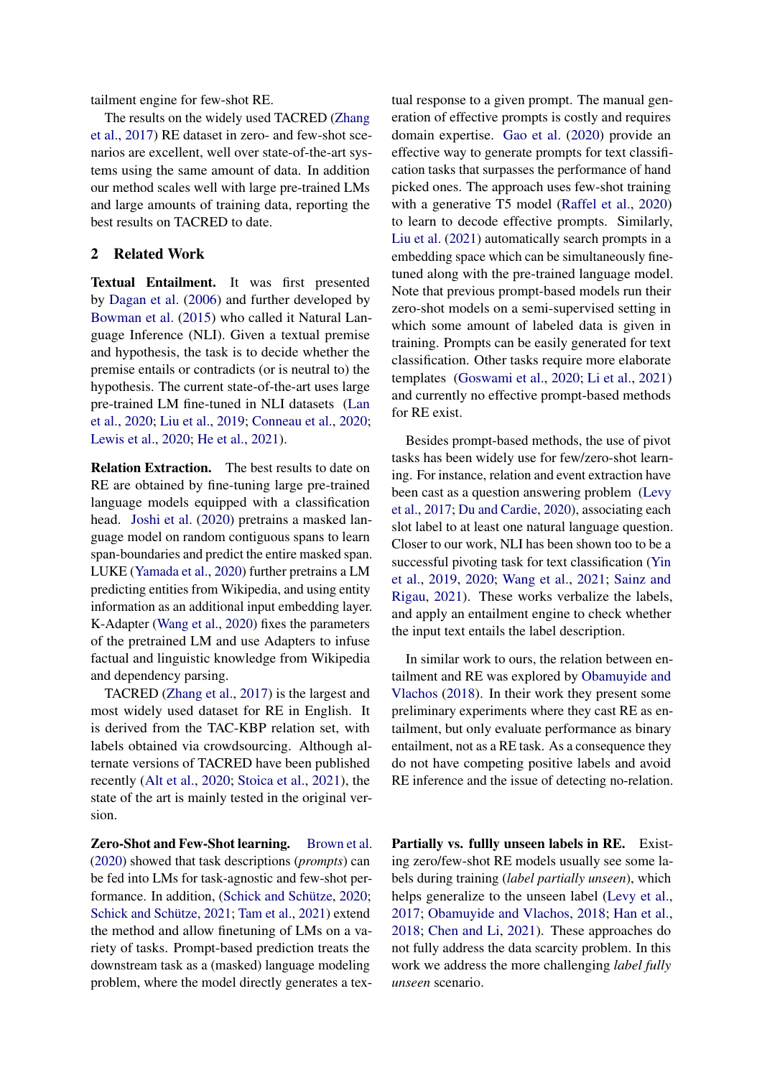tailment engine for few-shot RE.

The results on the widely used TACRED [\(Zhang](#page-10-6) [et al.,](#page-10-6) [2017\)](#page-10-6) RE dataset in zero- and few-shot scenarios are excellent, well over state-of-the-art systems using the same amount of data. In addition our method scales well with large pre-trained LMs and large amounts of training data, reporting the best results on TACRED to date.

# <span id="page-1-0"></span>2 Related Work

Textual Entailment. It was first presented by [Dagan et al.](#page-9-2) [\(2006\)](#page-9-2) and further developed by [Bowman et al.](#page-9-3) [\(2015\)](#page-9-3) who called it Natural Language Inference (NLI). Given a textual premise and hypothesis, the task is to decide whether the premise entails or contradicts (or is neutral to) the hypothesis. The current state-of-the-art uses large pre-trained LM fine-tuned in NLI datasets [\(Lan](#page-9-4) [et al.,](#page-9-4) [2020;](#page-9-4) [Liu et al.,](#page-9-5) [2019;](#page-9-5) [Conneau et al.,](#page-9-6) [2020;](#page-9-6) [Lewis et al.,](#page-9-7) [2020;](#page-9-7) [He et al.,](#page-9-8) [2021\)](#page-9-8).

Relation Extraction. The best results to date on RE are obtained by fine-tuning large pre-trained language models equipped with a classification head. [Joshi et al.](#page-9-9) [\(2020\)](#page-9-9) pretrains a masked language model on random contiguous spans to learn span-boundaries and predict the entire masked span. LUKE [\(Yamada et al.,](#page-10-0) [2020\)](#page-10-0) further pretrains a LM predicting entities from Wikipedia, and using entity information as an additional input embedding layer. K-Adapter [\(Wang et al.,](#page-10-7) [2020\)](#page-10-7) fixes the parameters of the pretrained LM and use Adapters to infuse factual and linguistic knowledge from Wikipedia and dependency parsing.

TACRED [\(Zhang et al.,](#page-10-6) [2017\)](#page-10-6) is the largest and most widely used dataset for RE in English. It is derived from the TAC-KBP relation set, with labels obtained via crowdsourcing. Although alternate versions of TACRED have been published recently [\(Alt et al.,](#page-9-10) [2020;](#page-9-10) [Stoica et al.,](#page-10-8) [2021\)](#page-10-8), the state of the art is mainly tested in the original version.

Zero-Shot and Few-Shot learning. [Brown et al.](#page-9-11) [\(2020\)](#page-9-11) showed that task descriptions (*prompts*) can be fed into LMs for task-agnostic and few-shot performance. In addition, [\(Schick and Schütze,](#page-10-3) [2020;](#page-10-3) [Schick and Schütze,](#page-10-1) [2021;](#page-10-1) [Tam et al.,](#page-10-9) [2021\)](#page-10-9) extend the method and allow finetuning of LMs on a variety of tasks. Prompt-based prediction treats the downstream task as a (masked) language modeling problem, where the model directly generates a textual response to a given prompt. The manual generation of effective prompts is costly and requires domain expertise. [Gao et al.](#page-9-0) [\(2020\)](#page-9-0) provide an effective way to generate prompts for text classification tasks that surpasses the performance of hand picked ones. The approach uses few-shot training with a generative T5 model [\(Raffel et al.,](#page-10-10) [2020\)](#page-10-10) to learn to decode effective prompts. Similarly, [Liu et al.](#page-9-12) [\(2021\)](#page-9-12) automatically search prompts in a embedding space which can be simultaneously finetuned along with the pre-trained language model. Note that previous prompt-based models run their zero-shot models on a semi-supervised setting in which some amount of labeled data is given in training. Prompts can be easily generated for text classification. Other tasks require more elaborate templates [\(Goswami et al.,](#page-9-13) [2020;](#page-9-13) [Li et al.,](#page-9-14) [2021\)](#page-9-14) and currently no effective prompt-based methods for RE exist.

Besides prompt-based methods, the use of pivot tasks has been widely use for few/zero-shot learning. For instance, relation and event extraction have been cast as a question answering problem [\(Levy](#page-9-1) [et al.,](#page-9-1) [2017;](#page-9-1) [Du and Cardie,](#page-9-15) [2020\)](#page-9-15), associating each slot label to at least one natural language question. Closer to our work, NLI has been shown too to be a successful pivoting task for text classification [\(Yin](#page-10-5) [et al.,](#page-10-5) [2019,](#page-10-5) [2020;](#page-10-11) [Wang et al.,](#page-10-12) [2021;](#page-10-12) [Sainz and](#page-10-13) [Rigau,](#page-10-13) [2021\)](#page-10-13). These works verbalize the labels, and apply an entailment engine to check whether the input text entails the label description.

In similar work to ours, the relation between entailment and RE was explored by [Obamuyide and](#page-10-14) [Vlachos](#page-10-14) [\(2018\)](#page-10-14). In their work they present some preliminary experiments where they cast RE as entailment, but only evaluate performance as binary entailment, not as a RE task. As a consequence they do not have competing positive labels and avoid RE inference and the issue of detecting no-relation.

Partially vs. fullly unseen labels in RE. Existing zero/few-shot RE models usually see some labels during training (*label partially unseen*), which helps generalize to the unseen label [\(Levy et al.,](#page-9-1) [2017;](#page-9-1) [Obamuyide and Vlachos,](#page-10-14) [2018;](#page-10-14) [Han et al.,](#page-9-16) [2018;](#page-9-16) [Chen and Li,](#page-9-17) [2021\)](#page-9-17). These approaches do not fully address the data scarcity problem. In this work we address the more challenging *label fully unseen* scenario.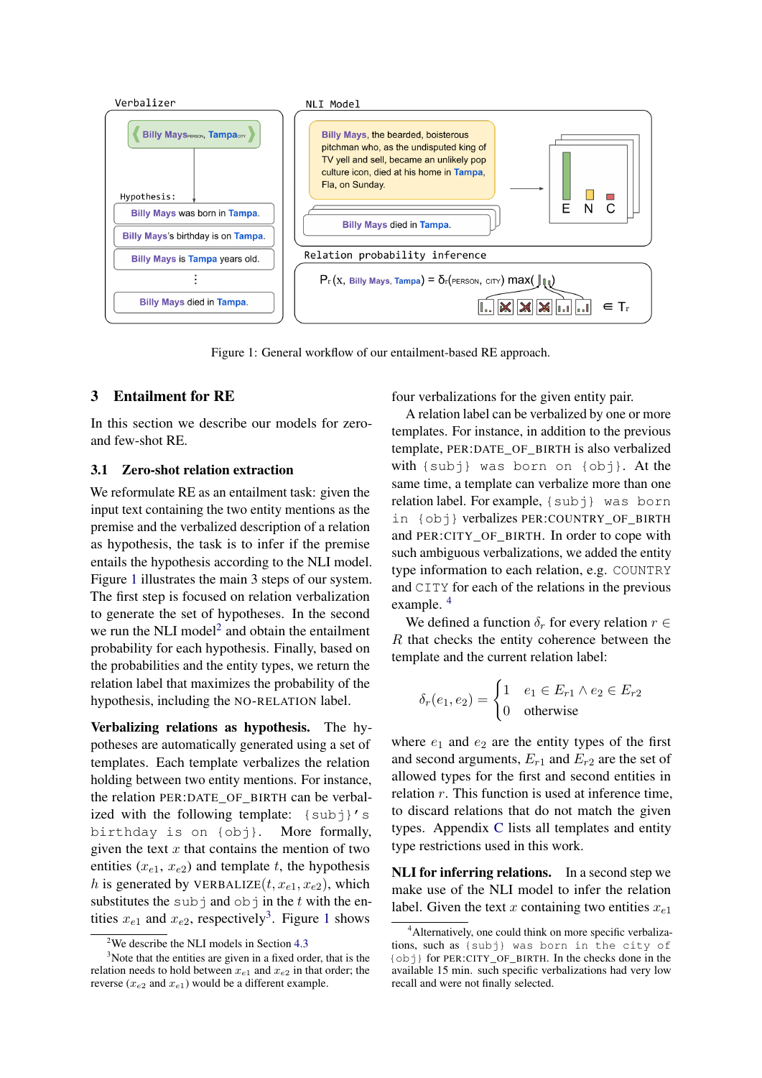<span id="page-2-0"></span>

Figure 1: General workflow of our entailment-based RE approach.

# <span id="page-2-4"></span>3 Entailment for RE

In this section we describe our models for zeroand few-shot RE.

# <span id="page-2-5"></span>3.1 Zero-shot relation extraction

We reformulate RE as an entailment task: given the input text containing the two entity mentions as the premise and the verbalized description of a relation as hypothesis, the task is to infer if the premise entails the hypothesis according to the NLI model. Figure [1](#page-2-0) illustrates the main 3 steps of our system. The first step is focused on relation verbalization to generate the set of hypotheses. In the second we run the NLI model $<sup>2</sup>$  $<sup>2</sup>$  $<sup>2</sup>$  and obtain the entailment</sup> probability for each hypothesis. Finally, based on the probabilities and the entity types, we return the relation label that maximizes the probability of the hypothesis, including the NO-RELATION label.

Verbalizing relations as hypothesis. The hypotheses are automatically generated using a set of templates. Each template verbalizes the relation holding between two entity mentions. For instance, the relation PER:DATE\_OF\_BIRTH can be verbalized with the following template:  $\{subj\}'s$ birthday is on {obj}. More formally, given the text  $x$  that contains the mention of two entities  $(x_{e1}, x_{e2})$  and template t, the hypothesis h is generated by VERBALIZE $(t, x_{e1}, x_{e2})$ , which substitutes the subj and  $\overline{obj}$  in the t with the entities  $x_{e1}$  $x_{e1}$  $x_{e1}$  and  $x_{e2}$ , respectively<sup>[3](#page-2-2)</sup>. Figure 1 shows

four verbalizations for the given entity pair.

A relation label can be verbalized by one or more templates. For instance, in addition to the previous template, PER:DATE\_OF\_BIRTH is also verbalized with {subj} was born on {obj}. At the same time, a template can verbalize more than one relation label. For example, {subj} was born in {obj} verbalizes PER:COUNTRY\_OF\_BIRTH and PER:CITY\_OF\_BIRTH. In order to cope with such ambiguous verbalizations, we added the entity type information to each relation, e.g. COUNTRY and CITY for each of the relations in the previous example. [4](#page-2-3)

We defined a function  $\delta_r$  for every relation  $r \in$ R that checks the entity coherence between the template and the current relation label:

$$
\delta_r(e_1, e_2) = \begin{cases} 1 & e_1 \in E_{r1} \land e_2 \in E_{r2} \\ 0 & \text{otherwise} \end{cases}
$$

where  $e_1$  and  $e_2$  are the entity types of the first and second arguments,  $E_{r1}$  and  $E_{r2}$  are the set of allowed types for the first and second entities in relation  $r$ . This function is used at inference time, to discard relations that do not match the given types. Appendix [C](#page-11-0) lists all templates and entity type restrictions used in this work.

NLI for inferring relations. In a second step we make use of the NLI model to infer the relation label. Given the text x containing two entities  $x_{e1}$ 

<span id="page-2-2"></span><span id="page-2-1"></span><sup>&</sup>lt;sup>2</sup>We describe the NLI models in Section  $4.3$ 

<sup>&</sup>lt;sup>3</sup>Note that the entities are given in a fixed order, that is the relation needs to hold between  $x_{e1}$  and  $x_{e2}$  in that order; the reverse ( $x_{e2}$  and  $x_{e1}$ ) would be a different example.

<span id="page-2-3"></span><sup>&</sup>lt;sup>4</sup> Alternatively, one could think on more specific verbalizations, such as {subj} was born in the city of {obj} for PER:CITY\_OF\_BIRTH. In the checks done in the available 15 min. such specific verbalizations had very low recall and were not finally selected.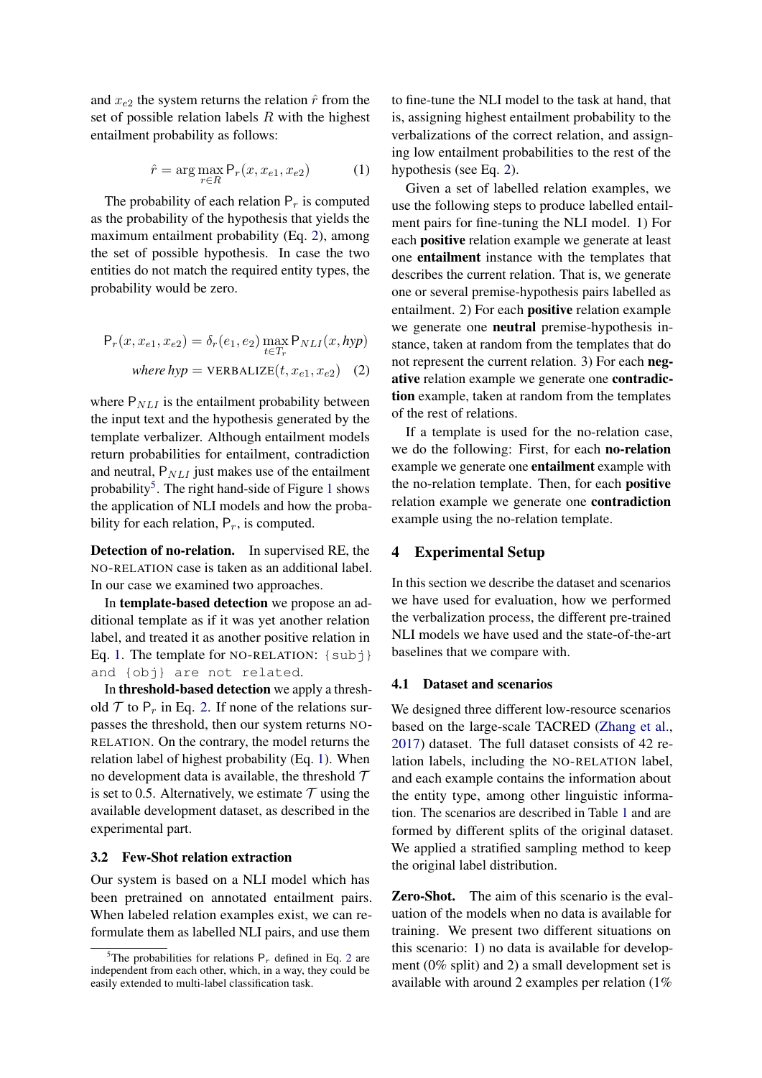<span id="page-3-2"></span>and  $x_{e2}$  the system returns the relation  $\hat{r}$  from the set of possible relation labels  $R$  with the highest entailment probability as follows:

$$
\hat{r} = \arg\max_{r \in R} \mathsf{P}_r(x, x_{e1}, x_{e2}) \tag{1}
$$

The probability of each relation  $P_r$  is computed as the probability of the hypothesis that yields the maximum entailment probability (Eq. [2\)](#page-3-0), among the set of possible hypothesis. In case the two entities do not match the required entity types, the probability would be zero.

$$
P_r(x, x_{e1}, x_{e2}) = \delta_r(e_1, e_2) \max_{t \in T_r} P_{NLI}(x, hyp)
$$
  
where  $hyp$  = VERBALIZE $(t, x_{e1}, x_{e2})$  (2)

where  $P_{NLI}$  is the entailment probability between the input text and the hypothesis generated by the template verbalizer. Although entailment models return probabilities for entailment, contradiction and neutral,  $P_{NLI}$  just makes use of the entailment probability<sup>[5](#page-3-1)</sup>. The right hand-side of Figure [1](#page-2-0) shows the application of NLI models and how the probability for each relation,  $P_r$ , is computed.

Detection of no-relation. In supervised RE, the NO-RELATION case is taken as an additional label. In our case we examined two approaches.

In template-based detection we propose an additional template as if it was yet another relation label, and treated it as another positive relation in Eq. [1.](#page-3-2) The template for NO-RELATION:  $\{subj\}$ and {obj} are not related.

In threshold-based detection we apply a threshold  $\mathcal T$  to  $P_r$  in Eq. [2.](#page-3-0) If none of the relations surpasses the threshold, then our system returns NO-RELATION. On the contrary, the model returns the relation label of highest probability (Eq. [1\)](#page-3-2). When no development data is available, the threshold  $\mathcal T$ is set to 0.5. Alternatively, we estimate  $\tau$  using the available development dataset, as described in the experimental part.

### 3.2 Few-Shot relation extraction

Our system is based on a NLI model which has been pretrained on annotated entailment pairs. When labeled relation examples exist, we can reformulate them as labelled NLI pairs, and use them

to fine-tune the NLI model to the task at hand, that is, assigning highest entailment probability to the verbalizations of the correct relation, and assigning low entailment probabilities to the rest of the hypothesis (see Eq. [2\)](#page-3-0).

Given a set of labelled relation examples, we use the following steps to produce labelled entailment pairs for fine-tuning the NLI model. 1) For each positive relation example we generate at least one entailment instance with the templates that describes the current relation. That is, we generate one or several premise-hypothesis pairs labelled as entailment. 2) For each positive relation example we generate one neutral premise-hypothesis instance, taken at random from the templates that do not represent the current relation. 3) For each negative relation example we generate one contradiction example, taken at random from the templates of the rest of relations.

<span id="page-3-0"></span>If a template is used for the no-relation case, we do the following: First, for each no-relation example we generate one entailment example with the no-relation template. Then, for each positive relation example we generate one contradiction example using the no-relation template.

# 4 Experimental Setup

In this section we describe the dataset and scenarios we have used for evaluation, how we performed the verbalization process, the different pre-trained NLI models we have used and the state-of-the-art baselines that we compare with.

### 4.1 Dataset and scenarios

We designed three different low-resource scenarios based on the large-scale TACRED [\(Zhang et al.,](#page-10-6) [2017\)](#page-10-6) dataset. The full dataset consists of 42 relation labels, including the NO-RELATION label, and each example contains the information about the entity type, among other linguistic information. The scenarios are described in Table [1](#page-4-1) and are formed by different splits of the original dataset. We applied a stratified sampling method to keep the original label distribution.

Zero-Shot. The aim of this scenario is the evaluation of the models when no data is available for training. We present two different situations on this scenario: 1) no data is available for development (0% split) and 2) a small development set is available with around 2 examples per relation (1%

<span id="page-3-1"></span><sup>&</sup>lt;sup>5</sup>The probabilities for relations  $P_r$  defined in Eq. [2](#page-3-0) are independent from each other, which, in a way, they could be easily extended to multi-label classification task.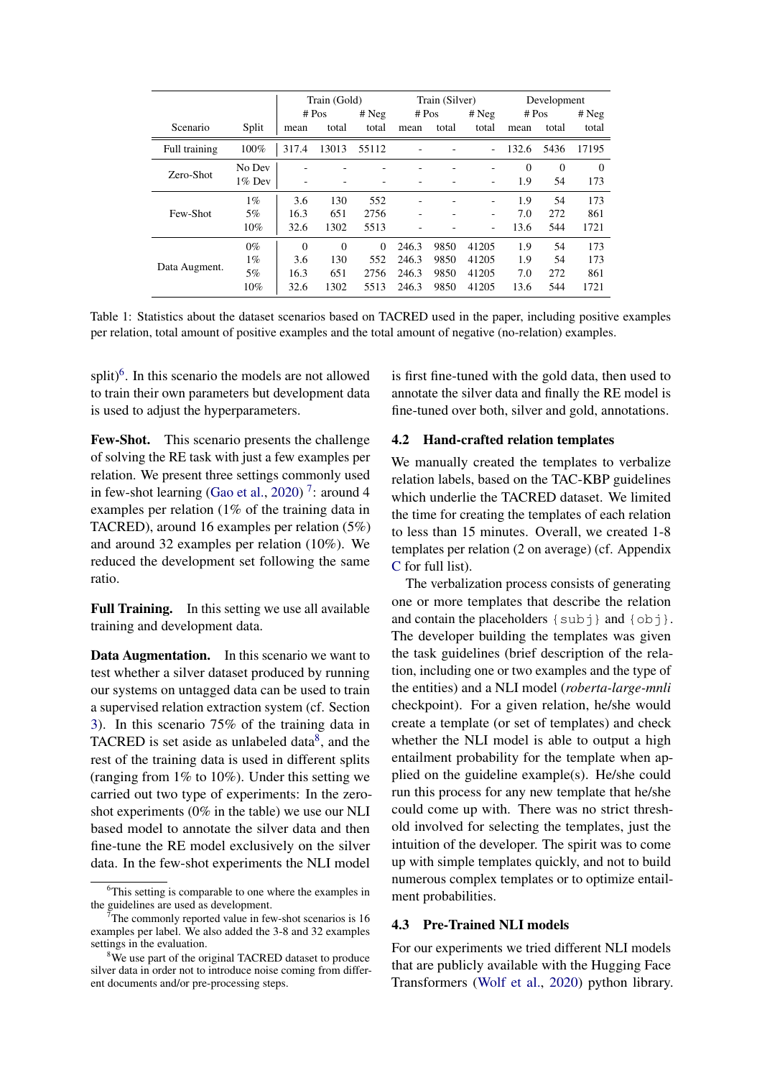<span id="page-4-1"></span>

|               |           | Train (Gold) |          | Train (Silver) |       |       | Development |          |          |          |
|---------------|-----------|--------------|----------|----------------|-------|-------|-------------|----------|----------|----------|
|               |           |              | # Pos    | # Neg          | # Pos |       | # Neg       | # $Pos$  |          | # Neg    |
| Scenario      | Split     | mean         | total    | total          | mean  | total | total       | mean     | total    | total    |
| Full training | 100%      | 317.4        | 13013    | 55112          |       |       | ٠           | 132.6    | 5436     | 17195    |
|               | No Dev    |              |          |                |       |       |             | $\Omega$ | $\Omega$ | $\Omega$ |
| Zero-Shot     | $1\%$ Dev |              |          |                |       |       |             | 1.9      | 54       | 173      |
|               | $1\%$     | 3.6          | 130      | 552            |       | ۰     | ۰           | 1.9      | 54       | 173      |
| Few-Shot      | 5%        | 16.3         | 651      | 2756           |       |       | -           | 7.0      | 272      | 861      |
|               | 10%       | 32.6         | 1302     | 5513           |       |       | ۰           | 13.6     | 544      | 1721     |
|               | $0\%$     | $\Omega$     | $\Omega$ | $\Omega$       | 246.3 | 9850  | 41205       | 1.9      | 54       | 173      |
| Data Augment. | $1\%$     | 3.6          | 130      | 552            | 246.3 | 9850  | 41205       | 1.9      | 54       | 173      |
|               | 5%        | 16.3         | 651      | 2756           | 246.3 | 9850  | 41205       | 7.0      | 272      | 861      |
|               | 10%       | 32.6         | 1302     | 5513           | 246.3 | 9850  | 41205       | 13.6     | 544      | 1721     |

Table 1: Statistics about the dataset scenarios based on TACRED used in the paper, including positive examples per relation, total amount of positive examples and the total amount of negative (no-relation) examples.

split) $<sup>6</sup>$  $<sup>6</sup>$  $<sup>6</sup>$ . In this scenario the models are not allowed</sup> to train their own parameters but development data is used to adjust the hyperparameters.

Few-Shot. This scenario presents the challenge of solving the RE task with just a few examples per relation. We present three settings commonly used in few-shot learning [\(Gao et al.,](#page-9-0) [2020\)](#page-9-0)<sup>[7](#page-4-3)</sup>: around 4 examples per relation (1% of the training data in TACRED), around 16 examples per relation (5%) and around 32 examples per relation (10%). We reduced the development set following the same ratio.

Full Training. In this setting we use all available training and development data.

Data Augmentation. In this scenario we want to test whether a silver dataset produced by running our systems on untagged data can be used to train a supervised relation extraction system (cf. Section [3\)](#page-2-4). In this scenario 75% of the training data in TACRED is set aside as unlabeled data $8$ , and the rest of the training data is used in different splits (ranging from 1% to 10%). Under this setting we carried out two type of experiments: In the zeroshot experiments (0% in the table) we use our NLI based model to annotate the silver data and then fine-tune the RE model exclusively on the silver data. In the few-shot experiments the NLI model

is first fine-tuned with the gold data, then used to annotate the silver data and finally the RE model is fine-tuned over both, silver and gold, annotations.

# <span id="page-4-5"></span>4.2 Hand-crafted relation templates

We manually created the templates to verbalize relation labels, based on the TAC-KBP guidelines which underlie the TACRED dataset. We limited the time for creating the templates of each relation to less than 15 minutes. Overall, we created 1-8 templates per relation (2 on average) (cf. Appendix [C](#page-11-0) for full list).

The verbalization process consists of generating one or more templates that describe the relation and contain the placeholders  $\{sub\}$  and  $\{obj\}$ . The developer building the templates was given the task guidelines (brief description of the relation, including one or two examples and the type of the entities) and a NLI model (*roberta-large-mnli* checkpoint). For a given relation, he/she would create a template (or set of templates) and check whether the NLI model is able to output a high entailment probability for the template when applied on the guideline example(s). He/she could run this process for any new template that he/she could come up with. There was no strict threshold involved for selecting the templates, just the intuition of the developer. The spirit was to come up with simple templates quickly, and not to build numerous complex templates or to optimize entailment probabilities.

# <span id="page-4-0"></span>4.3 Pre-Trained NLI models

For our experiments we tried different NLI models that are publicly available with the Hugging Face Transformers [\(Wolf et al.,](#page-10-15) [2020\)](#page-10-15) python library.

<span id="page-4-2"></span><sup>&</sup>lt;sup>6</sup>This setting is comparable to one where the examples in the guidelines are used as development.

<span id="page-4-3"></span>The commonly reported value in few-shot scenarios is 16 examples per label. We also added the 3-8 and 32 examples settings in the evaluation.

<span id="page-4-4"></span><sup>&</sup>lt;sup>8</sup>We use part of the original TACRED dataset to produce silver data in order not to introduce noise coming from different documents and/or pre-processing steps.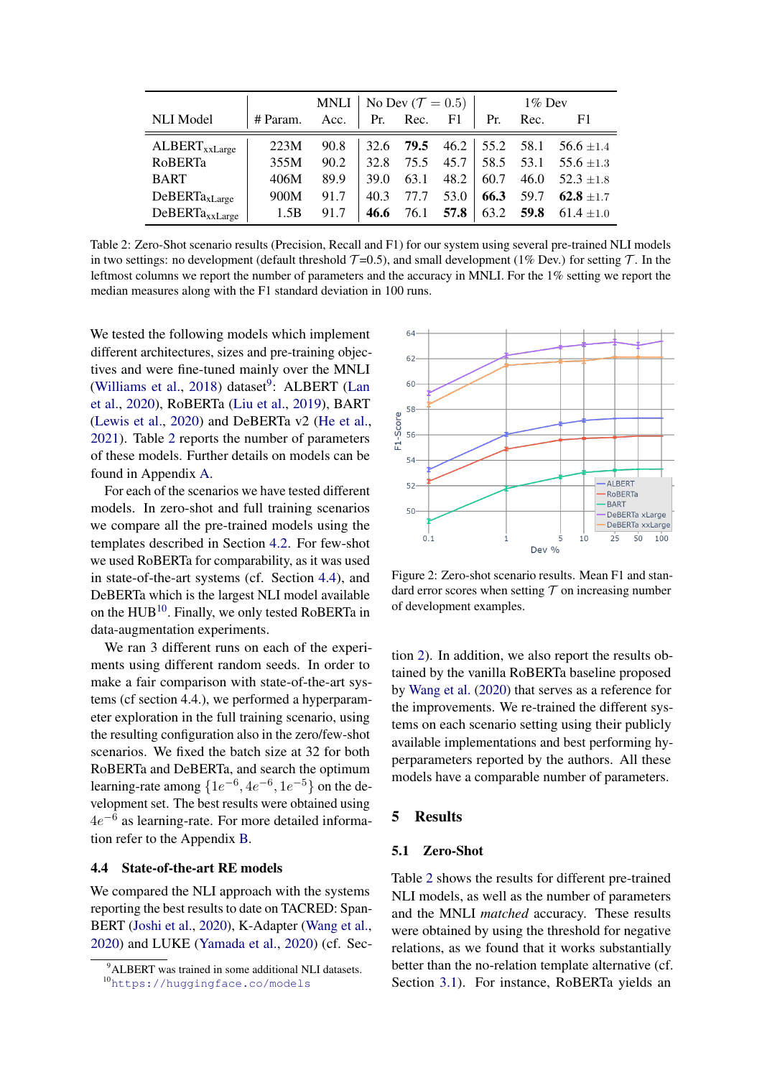<span id="page-5-1"></span>

|                     |          | MNLI   No Dev ( $\mathcal{T} = 0.5$ ) |      |           |           |      | $1\%$ Dev |                                                   |
|---------------------|----------|---------------------------------------|------|-----------|-----------|------|-----------|---------------------------------------------------|
| <b>NLI</b> Model    | # Param. | Acc. $\vert$ Pr. Rec.                 |      |           | F1        | Pr.  | Rec.      | F1                                                |
| $ALBERT_{xxLarge}$  | 223M     | 90.8                                  |      |           |           |      |           | 32.6 <b>79.5</b> 46.2 $\vert$ 55.2 58.1 56.6 ±1.4 |
| RoBERTa             | 355M     | 90.2                                  | 32.8 |           | 75.5 45.7 |      |           | 58.5 53.1 55.6 $\pm$ 1.3                          |
| <b>BART</b>         | 406M     | 89.9                                  | 39.0 | 63.1      | 48.2      | 60.7 | 46.0      | $52.3 \pm 1.8$                                    |
| $DeBERTa_{xLarge}$  | 900M     | 91.7                                  | 40.3 | 77.7      | 53.0      | 66.3 | 59.7      | $62.8 + 1.7$                                      |
| $DeBERTa_{xxLarge}$ | 1.5B     | 91.7                                  | 46.6 | 76.1 57.8 |           |      |           | 63.2 59.8 61.4 $\pm 1.0$                          |

Table 2: Zero-Shot scenario results (Precision, Recall and F1) for our system using several pre-trained NLI models in two settings: no development (default threshold  $\mathcal{T}$ =0.5), and small development (1% Dev.) for setting  $\mathcal{T}$ . In the leftmost columns we report the number of parameters and the accuracy in MNLI. For the 1% setting we report the median measures along with the F1 standard deviation in 100 runs.

We tested the following models which implement different architectures, sizes and pre-training objectives and were fine-tuned mainly over the MNLI [\(Williams et al.,](#page-10-16) [2018\)](#page-10-16) dataset<sup>[9](#page-5-0)</sup>: ALBERT [\(Lan](#page-9-4) [et al.,](#page-9-4) [2020\)](#page-9-4), RoBERTa [\(Liu et al.,](#page-9-5) [2019\)](#page-9-5), BART [\(Lewis et al.,](#page-9-7) [2020\)](#page-9-7) and DeBERTa v2 [\(He et al.,](#page-9-8) [2021\)](#page-9-8). Table [2](#page-5-1) reports the number of parameters of these models. Further details on models can be found in Appendix [A.](#page-11-1)

For each of the scenarios we have tested different models. In zero-shot and full training scenarios we compare all the pre-trained models using the templates described in Section [4.2.](#page-4-5) For few-shot we used RoBERTa for comparability, as it was used in state-of-the-art systems (cf. Section [4.4\)](#page-5-2), and DeBERTa which is the largest NLI model available on the HUB<sup>[10](#page-5-3)</sup>. Finally, we only tested RoBERTa in data-augmentation experiments.

We ran 3 different runs on each of the experiments using different random seeds. In order to make a fair comparison with state-of-the-art systems (cf section 4.4.), we performed a hyperparameter exploration in the full training scenario, using the resulting configuration also in the zero/few-shot scenarios. We fixed the batch size at 32 for both RoBERTa and DeBERTa, and search the optimum learning-rate among  $\{1e^{-6}, 4e^{-6}, 1e^{-5}\}$  on the development set. The best results were obtained using  $4e^{-6}$  as learning-rate. For more detailed information refer to the Appendix [B.](#page-11-2)

# <span id="page-5-2"></span>4.4 State-of-the-art RE models

We compared the NLI approach with the systems reporting the best results to date on TACRED: Span-BERT [\(Joshi et al.,](#page-9-9) [2020\)](#page-9-9), K-Adapter [\(Wang et al.,](#page-10-7) [2020\)](#page-10-7) and LUKE [\(Yamada et al.,](#page-10-0) [2020\)](#page-10-0) (cf. Sec-

<span id="page-5-4"></span>

Figure 2: Zero-shot scenario results. Mean F1 and standard error scores when setting  $T$  on increasing number of development examples.

tion [2\)](#page-1-0). In addition, we also report the results obtained by the vanilla RoBERTa baseline proposed by [Wang et al.](#page-10-7) [\(2020\)](#page-10-7) that serves as a reference for the improvements. We re-trained the different systems on each scenario setting using their publicly available implementations and best performing hyperparameters reported by the authors. All these models have a comparable number of parameters.

### 5 Results

### 5.1 Zero-Shot

Table [2](#page-5-1) shows the results for different pre-trained NLI models, as well as the number of parameters and the MNLI *matched* accuracy. These results were obtained by using the threshold for negative relations, as we found that it works substantially better than the no-relation template alternative (cf. Section [3.1\)](#page-2-5). For instance, RoBERTa yields an

<span id="page-5-0"></span><sup>&</sup>lt;sup>9</sup>ALBERT was trained in some additional NLI datasets.

<span id="page-5-3"></span><sup>10</sup><https://huggingface.co/models>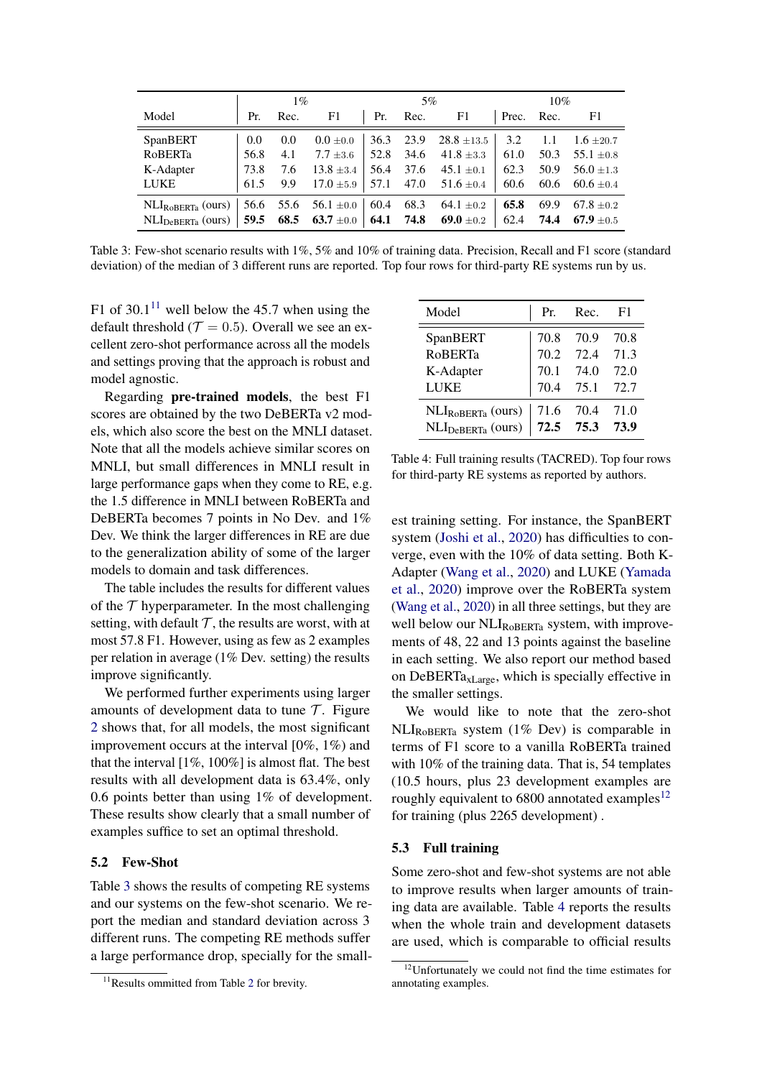<span id="page-6-1"></span>

|                                                                                                 |      | $1\%$ |    | 5%       |                                                                      |            | 10% |                     |
|-------------------------------------------------------------------------------------------------|------|-------|----|----------|----------------------------------------------------------------------|------------|-----|---------------------|
| Model                                                                                           | Pr.  | Rec.  | F1 | Pr. Rec. | F1                                                                   | Prec. Rec. |     | F1                  |
| SpanBERT                                                                                        | 0.0  | 0.0   |    |          | $0.0 \pm 0.0$ 36.3 23.9 28.8 $\pm$ 13.5 3.2 1.1 1.6 $\pm$ 20.7       |            |     |                     |
| RoBERTa                                                                                         | 56.8 | 4.1   |    |          | $7.7 \pm 3.6$   52.8 34.6 41.8 $\pm 3.3$   61.0                      |            |     | 50.3 55.1 $\pm$ 0.8 |
| K-Adapter                                                                                       | 73.8 | 7.6   |    |          | $13.8 \pm 3.4$   56.4 37.6 45.1 $\pm$ 0.1   62.3                     |            |     | 50.9 $56.0 \pm 1.3$ |
| LUKE                                                                                            | 61.5 | 9.9   |    |          | $17.0 \pm 5.9$   57.1 47.0 51.6 $\pm 0.4$   60.6 60.6 60.6 $\pm 0.4$ |            |     |                     |
| NLI <sub>ROBERTa</sub> (ours)   56.6 55.6 56.1 ±0.0   60.4 68.3 64.1 ±0.2                       |      |       |    |          |                                                                      | 65.8       |     | 69.9 67.8 $\pm$ 0.2 |
| NLI <sub>DeBERTa</sub> (ours)   59.5 68.5 63.7 ±0.0   64.1 74.8 69.0 ±0.2   62.4 74.4 67.9 ±0.5 |      |       |    |          |                                                                      |            |     |                     |

Table 3: Few-shot scenario results with 1%, 5% and 10% of training data. Precision, Recall and F1 score (standard deviation) of the median of 3 different runs are reported. Top four rows for third-party RE systems run by us.

F1 of  $30.1<sup>11</sup>$  $30.1<sup>11</sup>$  $30.1<sup>11</sup>$  well below the 45.7 when using the default threshold ( $\mathcal{T} = 0.5$ ). Overall we see an excellent zero-shot performance across all the models and settings proving that the approach is robust and model agnostic.

Regarding pre-trained models, the best F1 scores are obtained by the two DeBERTa v2 models, which also score the best on the MNLI dataset. Note that all the models achieve similar scores on MNLI, but small differences in MNLI result in large performance gaps when they come to RE, e.g. the 1.5 difference in MNLI between RoBERTa and DeBERTa becomes 7 points in No Dev. and 1% Dev. We think the larger differences in RE are due to the generalization ability of some of the larger models to domain and task differences.

The table includes the results for different values of the  $T$  hyperparameter. In the most challenging setting, with default  $\mathcal T$ , the results are worst, with at most 57.8 F1. However, using as few as 2 examples per relation in average (1% Dev. setting) the results improve significantly.

We performed further experiments using larger amounts of development data to tune  $\mathcal T$ . Figure [2](#page-5-4) shows that, for all models, the most significant improvement occurs at the interval [0%, 1%) and that the interval [1%, 100%] is almost flat. The best results with all development data is 63.4%, only 0.6 points better than using 1% of development. These results show clearly that a small number of examples suffice to set an optimal threshold.

### 5.2 Few-Shot

Table [3](#page-6-1) shows the results of competing RE systems and our systems on the few-shot scenario. We report the median and standard deviation across 3 different runs. The competing RE methods suffer a large performance drop, specially for the small-

<span id="page-6-3"></span>

| Model                         | Pr.  | Rec.      | -F1  |
|-------------------------------|------|-----------|------|
| SpanBERT                      | 70.8 | 70.9      | 70.8 |
| <b>RoBERTa</b>                | 70.2 | 72.4      | 71.3 |
| K-Adapter                     | 70.1 | 74.0      | 72.0 |
| LUKE                          | 70.4 | 75.1      | 72.7 |
| NLI <sub>ROBERTa</sub> (ours) | 71.6 | 70.4      | 71.0 |
| NLI <sub>DeBERTa</sub> (ours) |      | 72.5 75.3 | 73.9 |

Table 4: Full training results (TACRED). Top four rows for third-party RE systems as reported by authors.

est training setting. For instance, the SpanBERT system [\(Joshi et al.,](#page-9-9) [2020\)](#page-9-9) has difficulties to converge, even with the 10% of data setting. Both K-Adapter [\(Wang et al.,](#page-10-7) [2020\)](#page-10-7) and LUKE [\(Yamada](#page-10-0) [et al.,](#page-10-0) [2020\)](#page-10-0) improve over the RoBERTa system [\(Wang et al.,](#page-10-7) [2020\)](#page-10-7) in all three settings, but they are well below our  $NLI_{RoBERTa}$  system, with improvements of 48, 22 and 13 points against the baseline in each setting. We also report our method based on DeBERTa $_{\text{xLarge}}$ , which is specially effective in the smaller settings.

We would like to note that the zero-shot NLIRoBERTa system (1% Dev) is comparable in terms of F1 score to a vanilla RoBERTa trained with 10% of the training data. That is, 54 templates (10.5 hours, plus 23 development examples are roughly equivalent to  $6800$  annotated examples<sup>[12](#page-6-2)</sup> for training (plus 2265 development) .

### 5.3 Full training

Some zero-shot and few-shot systems are not able to improve results when larger amounts of training data are available. Table [4](#page-6-3) reports the results when the whole train and development datasets are used, which is comparable to official results

<span id="page-6-0"></span><sup>&</sup>lt;sup>11</sup>Results ommitted from Table [2](#page-5-1) for brevity.

<span id="page-6-2"></span><sup>&</sup>lt;sup>12</sup>Unfortunately we could not find the time estimates for annotating examples.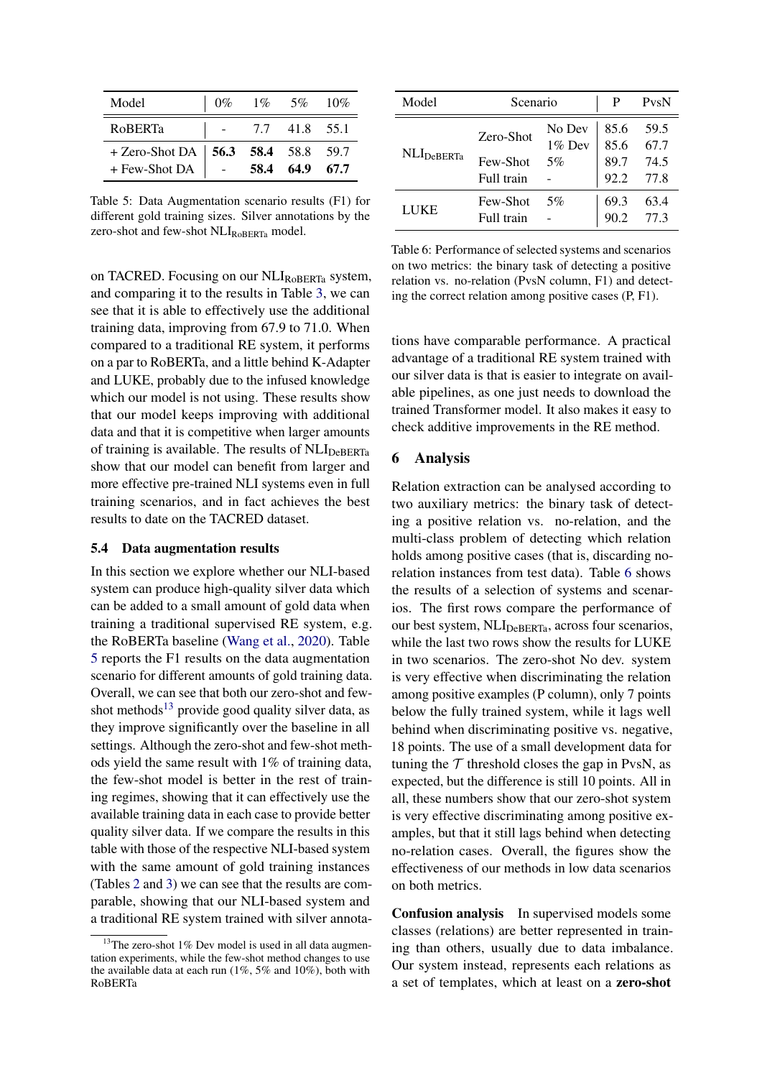<span id="page-7-0"></span>

| Model                                                   | $0\%$ | $1\%$ 5% $10\%$ |      |
|---------------------------------------------------------|-------|-----------------|------|
| <b>ROBERTa</b>                                          |       | 7.7 41.8 55.1   |      |
| + Zero-Shot DA   $56.3$ 58.4 58.8 59.7<br>+ Few-Shot DA |       | 58.4 64.9       | 67.7 |

Table 5: Data Augmentation scenario results (F1) for different gold training sizes. Silver annotations by the zero-shot and few-shot  $NLI_{RoBERTa}$  model.

on TACRED. Focusing on our  $\text{NLI}_{\text{RoBERTa}}$  system, and comparing it to the results in Table [3,](#page-6-1) we can see that it is able to effectively use the additional training data, improving from 67.9 to 71.0. When compared to a traditional RE system, it performs on a par to RoBERTa, and a little behind K-Adapter and LUKE, probably due to the infused knowledge which our model is not using. These results show that our model keeps improving with additional data and that it is competitive when larger amounts of training is available. The results of  $NLI_{DeBERTa}$ show that our model can benefit from larger and more effective pre-trained NLI systems even in full training scenarios, and in fact achieves the best results to date on the TACRED dataset.

### 5.4 Data augmentation results

In this section we explore whether our NLI-based system can produce high-quality silver data which can be added to a small amount of gold data when training a traditional supervised RE system, e.g. the RoBERTa baseline [\(Wang et al.,](#page-10-7) [2020\)](#page-10-7). Table [5](#page-7-0) reports the F1 results on the data augmentation scenario for different amounts of gold training data. Overall, we can see that both our zero-shot and few-shot methods<sup>[13](#page-7-1)</sup> provide good quality silver data, as they improve significantly over the baseline in all settings. Although the zero-shot and few-shot methods yield the same result with 1% of training data, the few-shot model is better in the rest of training regimes, showing that it can effectively use the available training data in each case to provide better quality silver data. If we compare the results in this table with those of the respective NLI-based system with the same amount of gold training instances (Tables [2](#page-5-1) and [3\)](#page-6-1) we can see that the results are comparable, showing that our NLI-based system and a traditional RE system trained with silver annota-

<span id="page-7-2"></span>

| Model                  | Scenario               |                     | PvsN         |              |
|------------------------|------------------------|---------------------|--------------|--------------|
| NLI <sub>DeBERTa</sub> | Zero-Shot              | No Dev<br>$1\%$ Dev | 85.6<br>85.6 | 59.5<br>67.7 |
|                        | Few-Shot<br>Full train | 5%                  | 89.7<br>92.2 | 74.5<br>77.8 |
|                        | Few-Shot               | 5%                  | 69.3         | 63.4         |
| LUKE                   | Full train             |                     |              | 77.3         |

Table 6: Performance of selected systems and scenarios on two metrics: the binary task of detecting a positive relation vs. no-relation (PvsN column, F1) and detecting the correct relation among positive cases (P, F1).

tions have comparable performance. A practical advantage of a traditional RE system trained with our silver data is that is easier to integrate on available pipelines, as one just needs to download the trained Transformer model. It also makes it easy to check additive improvements in the RE method.

### 6 Analysis

Relation extraction can be analysed according to two auxiliary metrics: the binary task of detecting a positive relation vs. no-relation, and the multi-class problem of detecting which relation holds among positive cases (that is, discarding norelation instances from test data). Table [6](#page-7-2) shows the results of a selection of systems and scenarios. The first rows compare the performance of our best system,  $\text{NLI}_{\text{DeBERTa}}$ , across four scenarios, while the last two rows show the results for LUKE in two scenarios. The zero-shot No dev. system is very effective when discriminating the relation among positive examples (P column), only 7 points below the fully trained system, while it lags well behind when discriminating positive vs. negative, 18 points. The use of a small development data for tuning the  $\tau$  threshold closes the gap in PvsN, as expected, but the difference is still 10 points. All in all, these numbers show that our zero-shot system is very effective discriminating among positive examples, but that it still lags behind when detecting no-relation cases. Overall, the figures show the effectiveness of our methods in low data scenarios on both metrics.

Confusion analysis In supervised models some classes (relations) are better represented in training than others, usually due to data imbalance. Our system instead, represents each relations as a set of templates, which at least on a zero-shot

<span id="page-7-1"></span><sup>&</sup>lt;sup>13</sup>The zero-shot 1% Dev model is used in all data augmentation experiments, while the few-shot method changes to use the available data at each run (1%, 5% and 10%), both with RoBERTa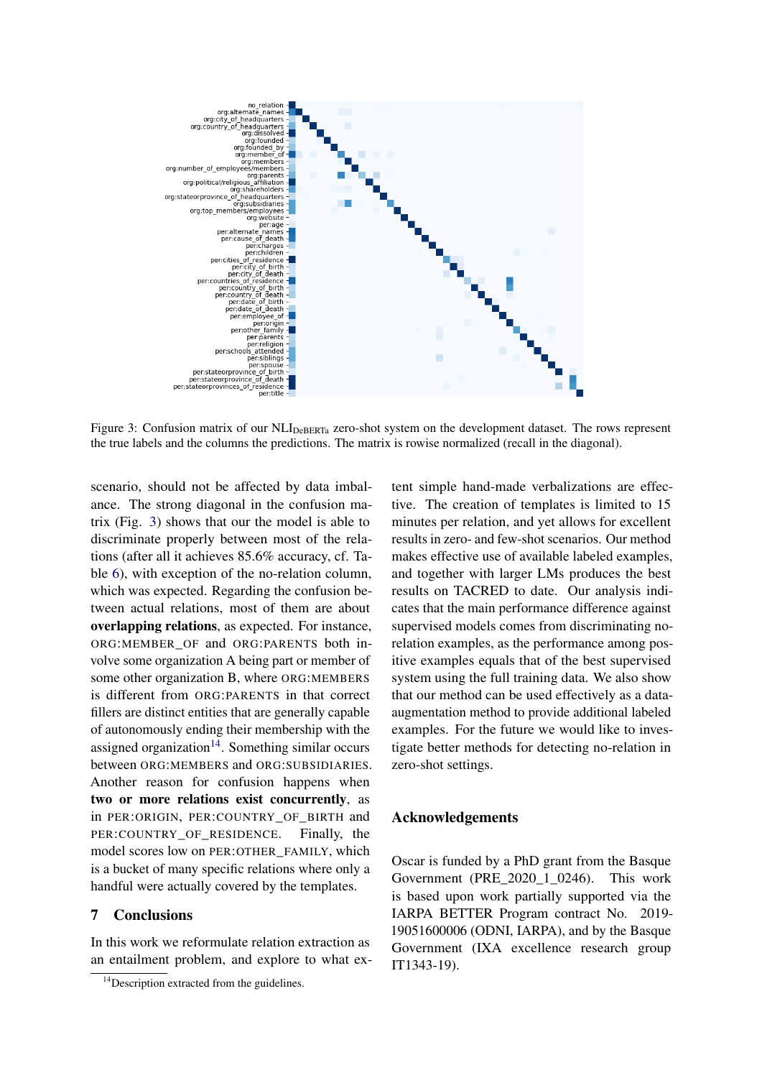<span id="page-8-0"></span>

Figure 3: Confusion matrix of our NLI<sub>DeBERTa</sub> zero-shot system on the development dataset. The rows represent the true labels and the columns the predictions. The matrix is rowise normalized (recall in the diagonal).

scenario, should not be affected by data imbalance. The strong diagonal in the confusion matrix (Fig. [3\)](#page-8-0) shows that our the model is able to discriminate properly between most of the relations (after all it achieves 85.6% accuracy, cf. Table [6\)](#page-7-2), with exception of the no-relation column, which was expected. Regarding the confusion between actual relations, most of them are about overlapping relations, as expected. For instance, ORG:MEMBER\_OF and ORG:PARENTS both involve some organization A being part or member of some other organization B, where ORG:MEMBERS is different from ORG:PARENTS in that correct fillers are distinct entities that are generally capable of autonomously ending their membership with the assigned organization<sup>[14](#page-8-1)</sup>. Something similar occurs between ORG:MEMBERS and ORG:SUBSIDIARIES. Another reason for confusion happens when two or more relations exist concurrently, as in PER:ORIGIN, PER:COUNTRY\_OF\_BIRTH and PER:COUNTRY OF RESIDENCE. Finally, the model scores low on PER:OTHER\_FAMILY, which is a bucket of many specific relations where only a handful were actually covered by the templates.

# 7 Conclusions

In this work we reformulate relation extraction as an entailment problem, and explore to what extent simple hand-made verbalizations are effective. The creation of templates is limited to 15 minutes per relation, and yet allows for excellent results in zero- and few-shot scenarios. Our method makes effective use of available labeled examples, and together with larger LMs produces the best results on TACRED to date. Our analysis indicates that the main performance difference against supervised models comes from discriminating norelation examples, as the performance among positive examples equals that of the best supervised system using the full training data. We also show that our method can be used effectively as a dataaugmentation method to provide additional labeled examples. For the future we would like to investigate better methods for detecting no-relation in zero-shot settings.

# Acknowledgements

Oscar is funded by a PhD grant from the Basque Government (PRE\_2020\_1\_0246). This work is based upon work partially supported via the IARPA BETTER Program contract No. 2019- 19051600006 (ODNI, IARPA), and by the Basque Government (IXA excellence research group IT1343-19).

<span id="page-8-1"></span><sup>&</sup>lt;sup>14</sup>Description extracted from the guidelines.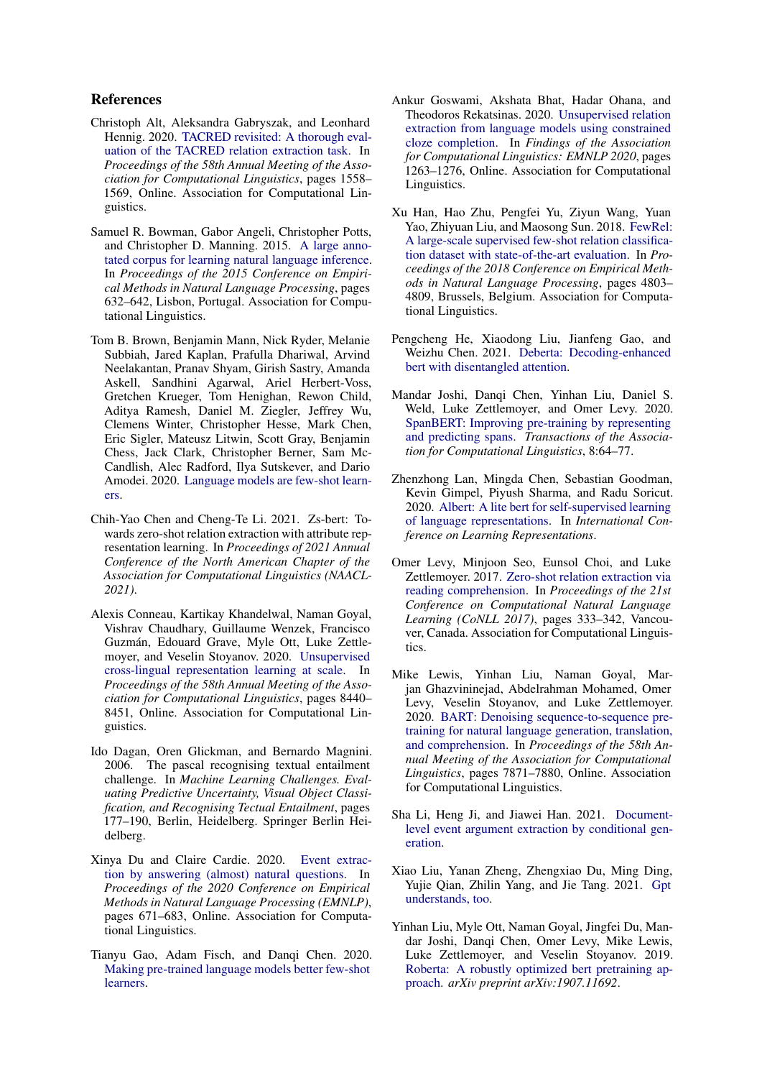# References

- <span id="page-9-10"></span>Christoph Alt, Aleksandra Gabryszak, and Leonhard Hennig. 2020. [TACRED revisited: A thorough eval](https://doi.org/10.18653/v1/2020.acl-main.142)[uation of the TACRED relation extraction task.](https://doi.org/10.18653/v1/2020.acl-main.142) In *Proceedings of the 58th Annual Meeting of the Association for Computational Linguistics*, pages 1558– 1569, Online. Association for Computational Linguistics.
- <span id="page-9-3"></span>Samuel R. Bowman, Gabor Angeli, Christopher Potts, and Christopher D. Manning. 2015. [A large anno](https://doi.org/10.18653/v1/D15-1075)[tated corpus for learning natural language inference.](https://doi.org/10.18653/v1/D15-1075) In *Proceedings of the 2015 Conference on Empirical Methods in Natural Language Processing*, pages 632–642, Lisbon, Portugal. Association for Computational Linguistics.
- <span id="page-9-11"></span>Tom B. Brown, Benjamin Mann, Nick Ryder, Melanie Subbiah, Jared Kaplan, Prafulla Dhariwal, Arvind Neelakantan, Pranav Shyam, Girish Sastry, Amanda Askell, Sandhini Agarwal, Ariel Herbert-Voss, Gretchen Krueger, Tom Henighan, Rewon Child, Aditya Ramesh, Daniel M. Ziegler, Jeffrey Wu, Clemens Winter, Christopher Hesse, Mark Chen, Eric Sigler, Mateusz Litwin, Scott Gray, Benjamin Chess, Jack Clark, Christopher Berner, Sam Mc-Candlish, Alec Radford, Ilya Sutskever, and Dario Amodei. 2020. [Language models are few-shot learn](http://arxiv.org/abs/2005.14165)[ers.](http://arxiv.org/abs/2005.14165)
- <span id="page-9-17"></span>Chih-Yao Chen and Cheng-Te Li. 2021. Zs-bert: Towards zero-shot relation extraction with attribute representation learning. In *Proceedings of 2021 Annual Conference of the North American Chapter of the Association for Computational Linguistics (NAACL-2021)*.
- <span id="page-9-6"></span>Alexis Conneau, Kartikay Khandelwal, Naman Goyal, Vishrav Chaudhary, Guillaume Wenzek, Francisco Guzmán, Edouard Grave, Myle Ott, Luke Zettlemoyer, and Veselin Stoyanov. 2020. [Unsupervised](https://doi.org/10.18653/v1/2020.acl-main.747) [cross-lingual representation learning at scale.](https://doi.org/10.18653/v1/2020.acl-main.747) In *Proceedings of the 58th Annual Meeting of the Association for Computational Linguistics*, pages 8440– 8451, Online. Association for Computational Linguistics.
- <span id="page-9-2"></span>Ido Dagan, Oren Glickman, and Bernardo Magnini. 2006. The pascal recognising textual entailment challenge. In *Machine Learning Challenges. Evaluating Predictive Uncertainty, Visual Object Classification, and Recognising Tectual Entailment*, pages 177–190, Berlin, Heidelberg. Springer Berlin Heidelberg.
- <span id="page-9-15"></span>Xinya Du and Claire Cardie. 2020. [Event extrac](https://doi.org/10.18653/v1/2020.emnlp-main.49)[tion by answering \(almost\) natural questions.](https://doi.org/10.18653/v1/2020.emnlp-main.49) In *Proceedings of the 2020 Conference on Empirical Methods in Natural Language Processing (EMNLP)*, pages 671–683, Online. Association for Computational Linguistics.
- <span id="page-9-0"></span>Tianyu Gao, Adam Fisch, and Danqi Chen. 2020. [Making pre-trained language models better few-shot](http://arxiv.org/abs/2012.15723) [learners.](http://arxiv.org/abs/2012.15723)
- <span id="page-9-13"></span>Ankur Goswami, Akshata Bhat, Hadar Ohana, and Theodoros Rekatsinas. 2020. [Unsupervised relation](https://doi.org/10.18653/v1/2020.findings-emnlp.113) [extraction from language models using constrained](https://doi.org/10.18653/v1/2020.findings-emnlp.113) [cloze completion.](https://doi.org/10.18653/v1/2020.findings-emnlp.113) In *Findings of the Association for Computational Linguistics: EMNLP 2020*, pages 1263–1276, Online. Association for Computational Linguistics.
- <span id="page-9-16"></span>Xu Han, Hao Zhu, Pengfei Yu, Ziyun Wang, Yuan Yao, Zhiyuan Liu, and Maosong Sun. 2018. [FewRel:](https://doi.org/10.18653/v1/D18-1514) [A large-scale supervised few-shot relation classifica](https://doi.org/10.18653/v1/D18-1514)[tion dataset with state-of-the-art evaluation.](https://doi.org/10.18653/v1/D18-1514) In *Proceedings of the 2018 Conference on Empirical Methods in Natural Language Processing*, pages 4803– 4809, Brussels, Belgium. Association for Computational Linguistics.
- <span id="page-9-8"></span>Pengcheng He, Xiaodong Liu, Jianfeng Gao, and Weizhu Chen. 2021. [Deberta: Decoding-enhanced](http://arxiv.org/abs/2006.03654) [bert with disentangled attention.](http://arxiv.org/abs/2006.03654)
- <span id="page-9-9"></span>Mandar Joshi, Danqi Chen, Yinhan Liu, Daniel S. Weld, Luke Zettlemoyer, and Omer Levy. 2020. [SpanBERT: Improving pre-training by representing](https://doi.org/10.1162/tacl_a_00300) [and predicting spans.](https://doi.org/10.1162/tacl_a_00300) *Transactions of the Association for Computational Linguistics*, 8:64–77.
- <span id="page-9-4"></span>Zhenzhong Lan, Mingda Chen, Sebastian Goodman, Kevin Gimpel, Piyush Sharma, and Radu Soricut. 2020. [Albert: A lite bert for self-supervised learning](https://openreview.net/forum?id=H1eA7AEtvS) [of language representations.](https://openreview.net/forum?id=H1eA7AEtvS) In *International Conference on Learning Representations*.
- <span id="page-9-1"></span>Omer Levy, Minjoon Seo, Eunsol Choi, and Luke Zettlemoyer. 2017. [Zero-shot relation extraction via](https://doi.org/10.18653/v1/K17-1034) [reading comprehension.](https://doi.org/10.18653/v1/K17-1034) In *Proceedings of the 21st Conference on Computational Natural Language Learning (CoNLL 2017)*, pages 333–342, Vancouver, Canada. Association for Computational Linguistics.
- <span id="page-9-7"></span>Mike Lewis, Yinhan Liu, Naman Goyal, Marjan Ghazvininejad, Abdelrahman Mohamed, Omer Levy, Veselin Stoyanov, and Luke Zettlemoyer. 2020. [BART: Denoising sequence-to-sequence pre](https://doi.org/10.18653/v1/2020.acl-main.703)[training for natural language generation, translation,](https://doi.org/10.18653/v1/2020.acl-main.703) [and comprehension.](https://doi.org/10.18653/v1/2020.acl-main.703) In *Proceedings of the 58th Annual Meeting of the Association for Computational Linguistics*, pages 7871–7880, Online. Association for Computational Linguistics.
- <span id="page-9-14"></span>Sha Li, Heng Ji, and Jiawei Han. 2021. [Document](http://arxiv.org/abs/2104.05919)[level event argument extraction by conditional gen](http://arxiv.org/abs/2104.05919)[eration.](http://arxiv.org/abs/2104.05919)
- <span id="page-9-12"></span>Xiao Liu, Yanan Zheng, Zhengxiao Du, Ming Ding, Yujie Qian, Zhilin Yang, and Jie Tang. 2021. [Gpt](http://arxiv.org/abs/2103.10385) [understands, too.](http://arxiv.org/abs/2103.10385)
- <span id="page-9-5"></span>Yinhan Liu, Myle Ott, Naman Goyal, Jingfei Du, Mandar Joshi, Danqi Chen, Omer Levy, Mike Lewis, Luke Zettlemoyer, and Veselin Stoyanov. 2019. [Roberta: A robustly optimized bert pretraining ap](https://arxiv.org/abs/1907.11692)[proach.](https://arxiv.org/abs/1907.11692) *arXiv preprint arXiv:1907.11692*.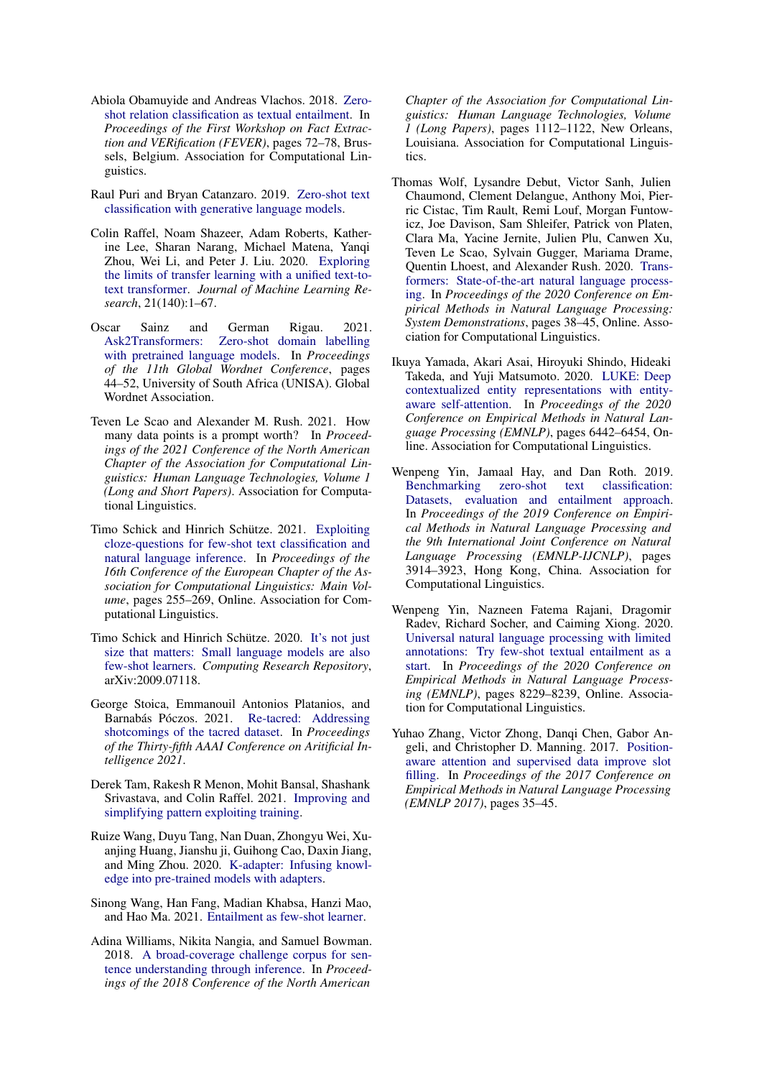- <span id="page-10-14"></span>Abiola Obamuyide and Andreas Vlachos. 2018. [Zero](https://doi.org/10.18653/v1/W18-5511)[shot relation classification as textual entailment.](https://doi.org/10.18653/v1/W18-5511) In *Proceedings of the First Workshop on Fact Extraction and VERification (FEVER)*, pages 72–78, Brussels, Belgium. Association for Computational Linguistics.
- <span id="page-10-2"></span>Raul Puri and Bryan Catanzaro. 2019. [Zero-shot text](http://arxiv.org/abs/1912.10165) [classification with generative language models.](http://arxiv.org/abs/1912.10165)
- <span id="page-10-10"></span>Colin Raffel, Noam Shazeer, Adam Roberts, Katherine Lee, Sharan Narang, Michael Matena, Yanqi Zhou, Wei Li, and Peter J. Liu. 2020. [Exploring](http://jmlr.org/papers/v21/20-074.html) [the limits of transfer learning with a unified text-to](http://jmlr.org/papers/v21/20-074.html)[text transformer.](http://jmlr.org/papers/v21/20-074.html) *Journal of Machine Learning Research*, 21(140):1–67.
- <span id="page-10-13"></span>Oscar Sainz and German Rigau. 2021. [Ask2Transformers: Zero-shot domain labelling](https://www.aclweb.org/anthology/2021.gwc-1.6) [with pretrained language models.](https://www.aclweb.org/anthology/2021.gwc-1.6) In *Proceedings of the 11th Global Wordnet Conference*, pages 44–52, University of South Africa (UNISA). Global Wordnet Association.
- <span id="page-10-4"></span>Teven Le Scao and Alexander M. Rush. 2021. How many data points is a prompt worth? In *Proceedings of the 2021 Conference of the North American Chapter of the Association for Computational Linguistics: Human Language Technologies, Volume 1 (Long and Short Papers)*. Association for Computational Linguistics.
- <span id="page-10-1"></span>Timo Schick and Hinrich Schütze. 2021. [Exploiting](https://www.aclweb.org/anthology/2021.eacl-main.20) [cloze-questions for few-shot text classification and](https://www.aclweb.org/anthology/2021.eacl-main.20) [natural language inference.](https://www.aclweb.org/anthology/2021.eacl-main.20) In *Proceedings of the 16th Conference of the European Chapter of the Association for Computational Linguistics: Main Volume*, pages 255–269, Online. Association for Computational Linguistics.
- <span id="page-10-3"></span>Timo Schick and Hinrich Schütze. 2020. [It's not just](http://arxiv.org/abs/2009.07118) [size that matters: Small language models are also](http://arxiv.org/abs/2009.07118) [few-shot learners.](http://arxiv.org/abs/2009.07118) *Computing Research Repository*, arXiv:2009.07118.
- <span id="page-10-8"></span>George Stoica, Emmanouil Antonios Platanios, and Barnabás Póczos. 2021. [Re-tacred: Addressing](https://gstoica27.github.io/assets/pdf/AAAI_Re_TACRED_CR.pdf) [shotcomings of the tacred dataset.](https://gstoica27.github.io/assets/pdf/AAAI_Re_TACRED_CR.pdf) In *Proceedings of the Thirty-fifth AAAI Conference on Aritificial Intelligence 2021*.
- <span id="page-10-9"></span>Derek Tam, Rakesh R Menon, Mohit Bansal, Shashank Srivastava, and Colin Raffel. 2021. [Improving and](http://arxiv.org/abs/2103.11955) [simplifying pattern exploiting training.](http://arxiv.org/abs/2103.11955)
- <span id="page-10-7"></span>Ruize Wang, Duyu Tang, Nan Duan, Zhongyu Wei, Xuanjing Huang, Jianshu ji, Guihong Cao, Daxin Jiang, and Ming Zhou. 2020. [K-adapter: Infusing knowl](http://arxiv.org/abs/2002.01808)[edge into pre-trained models with adapters.](http://arxiv.org/abs/2002.01808)
- <span id="page-10-12"></span>Sinong Wang, Han Fang, Madian Khabsa, Hanzi Mao, and Hao Ma. 2021. [Entailment as few-shot learner.](http://arxiv.org/abs/2104.14690)
- <span id="page-10-16"></span>Adina Williams, Nikita Nangia, and Samuel Bowman. 2018. [A broad-coverage challenge corpus for sen](https://doi.org/10.18653/v1/N18-1101)[tence understanding through inference.](https://doi.org/10.18653/v1/N18-1101) In *Proceedings of the 2018 Conference of the North American*

*Chapter of the Association for Computational Linguistics: Human Language Technologies, Volume 1 (Long Papers)*, pages 1112–1122, New Orleans, Louisiana. Association for Computational Linguistics.

- <span id="page-10-15"></span>Thomas Wolf, Lysandre Debut, Victor Sanh, Julien Chaumond, Clement Delangue, Anthony Moi, Pierric Cistac, Tim Rault, Remi Louf, Morgan Funtowicz, Joe Davison, Sam Shleifer, Patrick von Platen, Clara Ma, Yacine Jernite, Julien Plu, Canwen Xu, Teven Le Scao, Sylvain Gugger, Mariama Drame, Quentin Lhoest, and Alexander Rush. 2020. [Trans](https://doi.org/10.18653/v1/2020.emnlp-demos.6)[formers: State-of-the-art natural language process](https://doi.org/10.18653/v1/2020.emnlp-demos.6)[ing.](https://doi.org/10.18653/v1/2020.emnlp-demos.6) In *Proceedings of the 2020 Conference on Empirical Methods in Natural Language Processing: System Demonstrations*, pages 38–45, Online. Association for Computational Linguistics.
- <span id="page-10-0"></span>Ikuya Yamada, Akari Asai, Hiroyuki Shindo, Hideaki Takeda, and Yuji Matsumoto. 2020. [LUKE: Deep](https://doi.org/10.18653/v1/2020.emnlp-main.523) [contextualized entity representations with entity](https://doi.org/10.18653/v1/2020.emnlp-main.523)[aware self-attention.](https://doi.org/10.18653/v1/2020.emnlp-main.523) In *Proceedings of the 2020 Conference on Empirical Methods in Natural Language Processing (EMNLP)*, pages 6442–6454, Online. Association for Computational Linguistics.
- <span id="page-10-5"></span>Wenpeng Yin, Jamaal Hay, and Dan Roth. 2019. [Benchmarking zero-shot text classification:](https://doi.org/10.18653/v1/D19-1404) [Datasets, evaluation and entailment approach.](https://doi.org/10.18653/v1/D19-1404) In *Proceedings of the 2019 Conference on Empirical Methods in Natural Language Processing and the 9th International Joint Conference on Natural Language Processing (EMNLP-IJCNLP)*, pages 3914–3923, Hong Kong, China. Association for Computational Linguistics.
- <span id="page-10-11"></span>Wenpeng Yin, Nazneen Fatema Rajani, Dragomir Radev, Richard Socher, and Caiming Xiong. 2020. [Universal natural language processing with limited](https://doi.org/10.18653/v1/2020.emnlp-main.660) [annotations: Try few-shot textual entailment as a](https://doi.org/10.18653/v1/2020.emnlp-main.660) [start.](https://doi.org/10.18653/v1/2020.emnlp-main.660) In *Proceedings of the 2020 Conference on Empirical Methods in Natural Language Processing (EMNLP)*, pages 8229–8239, Online. Association for Computational Linguistics.
- <span id="page-10-6"></span>Yuhao Zhang, Victor Zhong, Danqi Chen, Gabor Angeli, and Christopher D. Manning. 2017. [Position](https://nlp.stanford.edu/pubs/zhang2017tacred.pdf)[aware attention and supervised data improve slot](https://nlp.stanford.edu/pubs/zhang2017tacred.pdf) [filling.](https://nlp.stanford.edu/pubs/zhang2017tacred.pdf) In *Proceedings of the 2017 Conference on Empirical Methods in Natural Language Processing (EMNLP 2017)*, pages 35–45.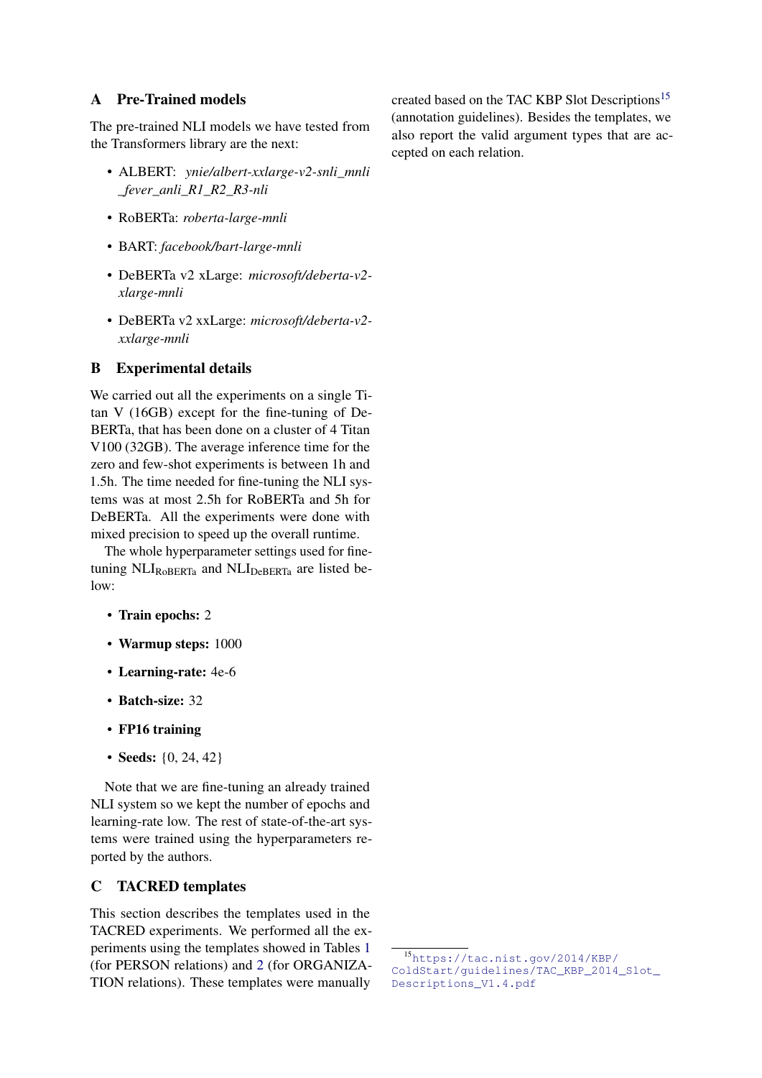# <span id="page-11-1"></span>A Pre-Trained models

The pre-trained NLI models we have tested from the Transformers library are the next:

- ALBERT: *ynie/albert-xxlarge-v2-snli\_mnli \_fever\_anli\_R1\_R2\_R3-nli*
- RoBERTa: *roberta-large-mnli*
- BART: *facebook/bart-large-mnli*
- DeBERTa v2 xLarge: *microsoft/deberta-v2 xlarge-mnli*
- DeBERTa v2 xxLarge: *microsoft/deberta-v2 xxlarge-mnli*

# <span id="page-11-2"></span>B Experimental details

We carried out all the experiments on a single Titan V (16GB) except for the fine-tuning of De-BERTa, that has been done on a cluster of 4 Titan V100 (32GB). The average inference time for the zero and few-shot experiments is between 1h and 1.5h. The time needed for fine-tuning the NLI systems was at most 2.5h for RoBERTa and 5h for DeBERTa. All the experiments were done with mixed precision to speed up the overall runtime.

The whole hyperparameter settings used for finetuning  $NLI_{RoBERTa}$  and  $NLI_{DeBERTa}$  are listed below:

- Train epochs: 2
- Warmup steps: 1000
- Learning-rate: 4e-6
- Batch-size: 32
- FP16 training
- Seeds: {0, 24, 42}

Note that we are fine-tuning an already trained NLI system so we kept the number of epochs and learning-rate low. The rest of state-of-the-art systems were trained using the hyperparameters reported by the authors.

# <span id="page-11-0"></span>C TACRED templates

This section describes the templates used in the TACRED experiments. We performed all the experiments using the templates showed in Tables [1](#page-12-0) (for PERSON relations) and [2](#page-13-0) (for ORGANIZA-TION relations). These templates were manually created based on the TAC KBP Slot Descriptions<sup>[15](#page-11-3)</sup> (annotation guidelines). Besides the templates, we also report the valid argument types that are accepted on each relation.

<span id="page-11-3"></span><sup>15</sup>[https://tac.nist.gov/2014/KBP/](https://tac.nist.gov/2014/KBP/ColdStart/guidelines/TAC_KBP_2014_Slot_Descriptions_V1.4.pdf) [ColdStart/guidelines/TAC\\_KBP\\_2014\\_Slot\\_](https://tac.nist.gov/2014/KBP/ColdStart/guidelines/TAC_KBP_2014_Slot_Descriptions_V1.4.pdf) [Descriptions\\_V1.4.pdf](https://tac.nist.gov/2014/KBP/ColdStart/guidelines/TAC_KBP_2014_Slot_Descriptions_V1.4.pdf)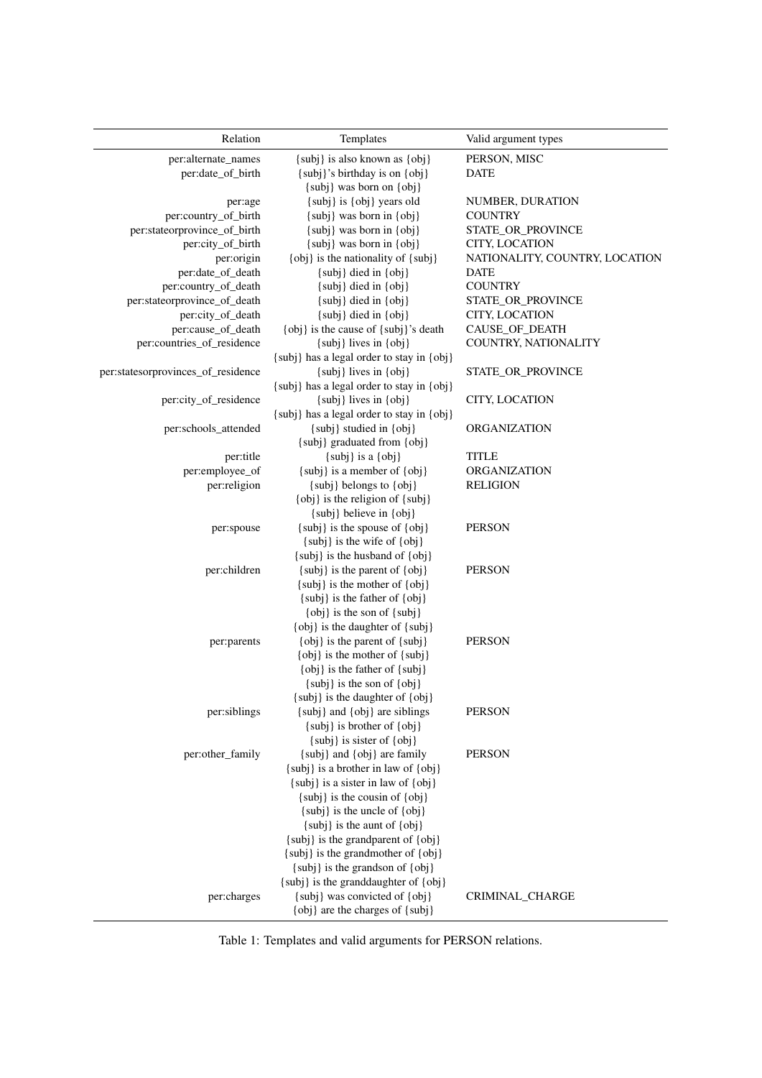<span id="page-12-0"></span>

| Relation                           | Templates                                                                  | Valid argument types           |
|------------------------------------|----------------------------------------------------------------------------|--------------------------------|
| per:alternate_names                | {subj} is also known as {obj}                                              | PERSON, MISC                   |
| per:date_of_birth                  | {subj}'s birthday is on {obj}                                              | <b>DATE</b>                    |
|                                    | {subj} was born on {obj}                                                   |                                |
| per:age                            | {subj} is {obj} years old                                                  | NUMBER, DURATION               |
| per:country_of_birth               | $\{subj\}$ was born in $\{obj\}$                                           | <b>COUNTRY</b>                 |
| per:stateorprovince_of_birth       | {subj} was born in {obj}                                                   | STATE_OR_PROVINCE              |
| per:city_of_birth                  | $\{subj\}$ was born in $\{obj\}$                                           | CITY, LOCATION                 |
| per:origin                         | {obj} is the nationality of {subj}                                         | NATIONALITY, COUNTRY, LOCATION |
| per:date_of_death                  | {subj} died in {obj}                                                       | <b>DATE</b>                    |
| per:country_of_death               | {subj} died in {obj}                                                       | <b>COUNTRY</b>                 |
| per:stateorprovince_of_death       | $\{subj\}$ died in $\{obj\}$                                               | STATE_OR_PROVINCE              |
| per:city_of_death                  | $\{subj\}$ died in $\{obj\}$                                               | CITY, LOCATION                 |
| per:cause_of_death                 | {obj} is the cause of {subj}'s death                                       | CAUSE_OF_DEATH                 |
| per:countries_of_residence         | $\{subj\}$ lives in $\{obj\}$<br>{subj} has a legal order to stay in {obj} | COUNTRY, NATIONALITY           |
| per:statesorprovinces_of_residence | $\{subj\}$ lives in $\{obj\}$                                              | STATE_OR_PROVINCE              |
|                                    | {subj} has a legal order to stay in {obj}                                  |                                |
| per:city_of_residence              | {subj} lives in {obj}                                                      | CITY, LOCATION                 |
|                                    | {subj} has a legal order to stay in {obj}                                  |                                |
| per:schools_attended               | {subj} studied in {obj}                                                    | <b>ORGANIZATION</b>            |
|                                    | {subj} graduated from {obj}                                                |                                |
| per:title                          | $\{subj\}$ is a $\{obj\}$                                                  | <b>TITLE</b>                   |
| per:employee_of                    | $\{subj\}$ is a member of $\{obj\}$                                        | <b>ORGANIZATION</b>            |
| per:religion                       | {subj} belongs to {obj}                                                    | <b>RELIGION</b>                |
|                                    | {obj} is the religion of {subj}                                            |                                |
|                                    | {subj} believe in {obj}                                                    |                                |
| per:spouse                         | $\{subj\}$ is the spouse of $\{obj\}$                                      | <b>PERSON</b>                  |
|                                    | {subj} is the wife of {obj}                                                |                                |
|                                    | {subj} is the husband of {obj}                                             |                                |
| per:children                       | {subj} is the parent of {obj}                                              | <b>PERSON</b>                  |
|                                    | {subj} is the mother of {obj}                                              |                                |
|                                    | {subj} is the father of {obj}                                              |                                |
|                                    | {obj} is the son of {subj}                                                 |                                |
|                                    | $\{obj\}$ is the daughter of $\{subj\}$                                    |                                |
| per:parents                        | {obj} is the parent of {subj}<br>{obj} is the mother of {subj}             | <b>PERSON</b>                  |
|                                    | $\{obj\}$ is the father of $\{subj\}$                                      |                                |
|                                    | $\{subj\}$ is the son of $\{obj\}$                                         |                                |
|                                    | {subj} is the daughter of {obj}                                            |                                |
| per:siblings                       | {subj} and {obj} are siblings                                              | <b>PERSON</b>                  |
|                                    | {subj} is brother of {obj}                                                 |                                |
|                                    | {subj} is sister of {obj}                                                  |                                |
| per:other_family                   | {subj} and {obj} are family                                                | <b>PERSON</b>                  |
|                                    | $\{subj\}$ is a brother in law of $\{obj\}$                                |                                |
|                                    | $\{subj\}$ is a sister in law of $\{obj\}$                                 |                                |
|                                    | {subj} is the cousin of {obj}                                              |                                |
|                                    | {subj} is the uncle of {obj}                                               |                                |
|                                    | {subj} is the aunt of {obj}                                                |                                |
|                                    | {subj} is the grandparent of {obj}                                         |                                |
|                                    | {subj} is the grandmother of {obj}                                         |                                |
|                                    | {subj} is the grandson of {obj}                                            |                                |
|                                    | {subj} is the granddaughter of {obj}                                       |                                |
| per:charges                        | {subj} was convicted of {obj}                                              | CRIMINAL_CHARGE                |
|                                    | {obj} are the charges of {subj}                                            |                                |

Table 1: Templates and valid arguments for PERSON relations.